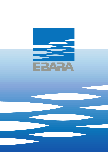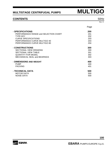## **CONTENTS** 50Hz

|                                       | Page |
|---------------------------------------|------|
| - SPECIFICATIONS                      | 200  |
| PERFORMANCE RANGE and SELECTION CHART | 201  |
| <b>TYPE KEY</b>                       | 202  |
| <b>CURVE SPECIFICATIONS</b>           | 203  |
| PERFORMANCE CURVE MULTIGO 40          | 203  |
| PERFORMANCE CURVE MULTIGO 80          | 204  |
| - CONSTRUCTIONS                       | 300  |
| SECTIONAL VIEW DRAWING                | 300  |
| <b>SECTIONAL VIEW TABLE</b>           | 301  |
| <b>QUANTITY FOR MODEL</b>             | 302  |
| <b>MECHANICAL SEAL and BEARINGS</b>   | 303  |
| - DIMENSIONS AND WEIGHT               | 400  |
| <b>PUMP</b>                           | 400  |
| <b>PACKING</b>                        | 401  |
| - TECHNICAL DATA                      | 500  |
| <b>MOTOR DATA</b>                     | 500  |
| <b>NOISE DATA</b>                     | 500  |

**100** 

Rev. H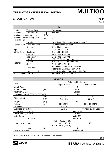## **SPECIFICATION** 50Hz

| ۰, |  |
|----|--|

|                                                                 | <b>PUMP</b>              |                |                                           |  |  |  |  |  |  |
|-----------------------------------------------------------------|--------------------------|----------------|-------------------------------------------|--|--|--|--|--|--|
| Liquid                                                          | Type of liquid           |                | Clean water                               |  |  |  |  |  |  |
| Handled                                                         | Temperature              | $ \mathbb{C} $ | $max. +40$                                |  |  |  |  |  |  |
|                                                                 | Maximum working pressure | [MPa]          |                                           |  |  |  |  |  |  |
| Maximum available negative<br>$\lceil m \rceil$<br>suction head |                          |                | -6                                        |  |  |  |  |  |  |
|                                                                 | Impeller                 |                | Closed centrifugal type (multiple stages) |  |  |  |  |  |  |
| Construction                                                    | Shaft seal type          |                | Double mechanical seal                    |  |  |  |  |  |  |
|                                                                 | <b>Bearing</b>           |                | Sealed ball bearing                       |  |  |  |  |  |  |
| Pipe                                                            | Suction                  |                | G 11/4 UNI ISO 228                        |  |  |  |  |  |  |
| Connection                                                      | Discharge                |                | G 11/4 UNI ISO 228                        |  |  |  |  |  |  |
|                                                                 | Casing                   |                | EN 1.4301 (AISI 304)                      |  |  |  |  |  |  |
|                                                                 | Casing cover             |                | EN 1.4301 (AISI 304)                      |  |  |  |  |  |  |
|                                                                 | Impeller                 |                | PPE+PS Glass fibre reinforced             |  |  |  |  |  |  |
| Material                                                        | <b>Diffuser</b>          |                | PPE+PS Glass fibre reinforced             |  |  |  |  |  |  |
|                                                                 | Shaft                    |                | EN 1.4057 (AISI 431)                      |  |  |  |  |  |  |
|                                                                 | Shaft seal               |                | Pump side: Carbon/Ceramic/NBR             |  |  |  |  |  |  |
|                                                                 |                          |                | Motor side: Carbon/Ceramic/NBR            |  |  |  |  |  |  |
|                                                                 | Lubricating oil          |                | White mineral oil: Esso Marcol 172 (90cc) |  |  |  |  |  |  |
| Applicable standard of test                                     |                          |                | ISO 9906:2012 - Grade 3B                  |  |  |  |  |  |  |

| <b>MOTOR</b>            |                                    |                          |                          |                      |  |  |  |  |  |
|-------------------------|------------------------------------|--------------------------|--------------------------|----------------------|--|--|--|--|--|
|                         |                                    |                          | Submersible dry type     |                      |  |  |  |  |  |
| <b>Type</b>             |                                    |                          | Single Phase*            | <b>Three Phase</b>   |  |  |  |  |  |
| No. of Poles            |                                    |                          | $\overline{2}$           |                      |  |  |  |  |  |
| <b>Rotation speed</b>   |                                    | ${\sf Imin^{-1}}{\sf I}$ | 2800                     |                      |  |  |  |  |  |
| <b>Insulation Class</b> |                                    |                          | Class F                  |                      |  |  |  |  |  |
|                         | Protection degree (CEI EN 60034-5) |                          | IP 68                    |                      |  |  |  |  |  |
| Power rating            |                                    | [kW]                     | $0.6 \div 1.1$           | $0.6 \div 1.5$       |  |  |  |  |  |
|                         |                                    | [HP]                     | $0.8 \div 1.5$           | $0.8 \div 2$         |  |  |  |  |  |
| Frequency               |                                    | [Hz]                     | 50                       |                      |  |  |  |  |  |
| Voltage                 |                                    | [V]                      | 230 ±10%<br>230/400 ±10% |                      |  |  |  |  |  |
| Capacitor               |                                    |                          | <b>Built in</b>          |                      |  |  |  |  |  |
| Over load protection    |                                    |                          | <b>Built in</b>          | Provided by the user |  |  |  |  |  |
| Upper bearing bracket   |                                    |                          | Aluminium                |                      |  |  |  |  |  |
| Lower bearing bracket   |                                    |                          | <b>Brass</b>             |                      |  |  |  |  |  |
| Motor frame             |                                    |                          | <b>AISI 304</b>          |                      |  |  |  |  |  |
|                         | material                           |                          | H07RN-F                  |                      |  |  |  |  |  |
|                         |                                    |                          | 3G1<br>(40/08, 40/10,    |                      |  |  |  |  |  |
| Power cable<br>size     |                                    |                          | 40/12, 40/15)            | 4G1                  |  |  |  |  |  |
|                         |                                    |                          | (80/12, 80/15)<br>3G1.5  |                      |  |  |  |  |  |
|                         | length                             | [m]                      | 5                        |                      |  |  |  |  |  |
| Type of cable entry     |                                    |                          | <b>Cable Gland</b>       |                      |  |  |  |  |  |

\* ON REQUEST IN-LINE VERSION ONLY FOR SINGLE PHASE MODELS

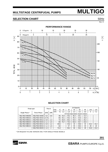## **SELECTION CHART** 50Hz

**PERFORMANCE RANGE**  $10$  $15$ 20 25 30  $\mathbf 0$ U.S.g.p.m. 5  $10$ 25  $15$ 20  $\mathbf 0$ Imp.g.p.m. 5 90  $\begin{bmatrix} E \\ H \end{bmatrix}$  $\Xi$  $\pm$ 80 40 15  $-250$ 70 40  $-200$ 60  $40/10$ 50  $-150$  $40/08$  $40<sub>1</sub>$ TOTAL HEAD  $-100$  $30\,$  $80/20^{-7}$ 20  $80/15$  $-50$ 80/12다  $\pm\pm\pm$  $10$  $\mathbf{o}$  $\overline{\phantom{0}}$  $80$  $10$  $20$  $30$  $40$  $50$  $60$  $70$  $90$ 100 110  $120$  $Q$  [l/min]  $\Omega$  $\overline{0}$  $\frac{1}{2}$  $\frac{1}{3}$  $\frac{1}{7}$  $\frac{1}{1}$  $\overline{5}$  $Q \, \lceil m^3/h \rceil$  $\dot{6}$  $\frac{1}{4}$ 

## **SELECTION CHART**

| Pump type      |                      | Pow er |      | Q=Capacity             |                |                                   |      |      |      |                |                          |  |
|----------------|----------------------|--------|------|------------------------|----------------|-----------------------------------|------|------|------|----------------|--------------------------|--|
|                |                      |        |      | V <sub>min</sub><br>0  | 20             | 30                                | 40   | 60   | 80   | 100            | 120                      |  |
| Single Phase * | Three Phase          | [kW]   | ſΗPl | m <sup>3</sup> /h<br>0 | 1,2            | 1,8                               | 2.4  | 3,6  | 4,8  | 6              | 7,2                      |  |
|                |                      |        |      |                        |                | H=Total manometric head in meters |      |      |      |                |                          |  |
| MULTIGO M40/08 | <b>MULTIGO 40/08</b> | 0.6    | 0,8  | 48                     | 43.3           | 40.2                              | 36.3 | 26.1 | 13.4 | -              |                          |  |
| MULTIGO M40/10 | <b>MULTIGO 40/10</b> | 0.75   |      | 60                     | 54.1           | 50,2                              | 45.4 | 32,6 | 16,8 | -              |                          |  |
| MULTIGO M40/12 | <b>MULTIGO 40/12</b> | 0.9    | 1.2  | 72                     | 64.9           | 60.2                              | 54.5 | 39.2 | 20.2 | -              |                          |  |
| MULTIGO M40/15 | <b>MULTIGO 40/15</b> | 1,1    | 1,5  | 84                     | 75.7           | 70,3                              | 63.6 | 45,7 | 23,5 | $\blacksquare$ | $\overline{\phantom{0}}$ |  |
| MULTIGO M80/12 | <b>MULTIGO 80/12</b> | 0.9    | 1,2  | 49,6                   | $\blacksquare$ | 45,6                              | 44   | 38,8 | 32   | 23,2           | 15,2                     |  |
| MULTIGO M80/15 | <b>MULTIGO 80/15</b> | 1,1    | 1,5  | 62                     | $\blacksquare$ | 57                                | 55   | 48,5 | 40   | 28             | 19                       |  |
|                | <b>MULTIGO 80/20</b> | 1.5    | 2    | 74,4                   | -              | 68.4                              | 66   | 58,2 | 48   | 34,8           | 22.8                     |  |

\* ON REQUEST IN-LINE VERSION ONLY FOR SINGLE PHASE MODELS



**201** 

Rev. H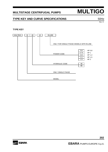## **TYPE KEY AND CURVE SPECIFICATIONS** 50Hz

Rev. H

### **TYPE KEY**



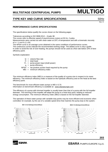## **TYPE KEY AND CURVE SPECIFICATIONS** 50Hz

Rev. H

## **PERFORMANCE CURVE SPECIFICATIONS**

The specifications below qualify the curves shown on the following pages.

Tolerances according to ISO 9906:2012 – Grade 3B

The curves refer to effective speed of asynchronous motors at 50 Hz, 2 poles.

Measurements were carried out with clean water at 20°C of temperature and with a kinematic viscosity of  $v = 1$  mm<sup>2</sup>/s (1 cSt)

The NPSH curve is an average curve obtained in the same conditions of performance curves. The continuous curves indicate the recommended working range. The dotted curve is only a guide. In order to avoid the risk of over-heating, the pumps should not be used at a flow rate below 10% of best efficiency point.

Symbols explanation:

- $Q =$  volume flow rate
- $H =$  total head
- $P_2$  = pump power input (shaft power)
- $n =$  pump efficiency
- $NPSH = net positive section head required by the pump$ 
	- $MEI =$  minimum efficiency index

The minimum efficiency index (MEI) is a measure of the quality of a pump size in respect to its mean efficiency. The minimum efficiency index is based on the hydraulic efficiency and on the head at the best efficiency point.

The benchmark for most efficient water pumps is MEI  $\geq$  0,70. Information on benchmark efficiency is available at: www.ebaraeurope.com

The efficiency of a pump with trimmed impeller is usually lower than that of a pump with the full impeller diameter. The trimming of the impeller will adapt the pump to a fixed duty point, leading to reduced energy consumption. The minimum efficiency index (MEI) is based on the full impeller diameter.

The operation of these water pumps with variabile duty points may be more efficient end economic when controlled, for example, by the use of a variable speed drive that matches the pump duty to the system.







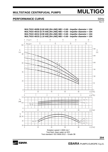## **PERFORMANCE CURVE**  50Hz

Rev. H

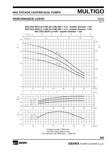## **PERFORMANCE CURVE**  50Hz

Rev. H



Test fluid: clean water at 20°C Test standard: ISO 9906:2012 – Grade 3B

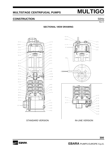## **CONSTRUCTION** 50Hz

Rev. H

## **SECTIONAL VIEW DRAWING**



STANDARD VERSION IN-LINE VERSION



**EBARA** 

**EBARA** PUMPS EUROPE S.p.A.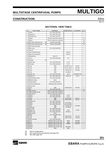## **CONSTRUCTION** 50Hz

Rev. H

| Ν°             | PART NAME                           | MATERIAL                                              | <b>DIMENSIONS</b>            | STANDARD        | Q.TY                    |
|----------------|-------------------------------------|-------------------------------------------------------|------------------------------|-----------------|-------------------------|
| 1              | Casing                              | EN 1.4301 (AISI 304)                                  |                              |                 | 1                       |
| $\overline{4}$ | Casing ring                         | EN 1.4301 (AISI 304)                                  |                              |                 | 1                       |
| 6              | Shaft with rotor                    | EN 1.4057 (AISI 431)                                  |                              |                 | 1                       |
|                |                                     |                                                       |                              |                 |                         |
| 7              | Impeller                            | PPE+PS Glass fibre reinforced                         |                              |                 | $[3]$                   |
| 9              | Diffuser                            | PPE+PS Glass fibre reinforced                         |                              |                 | $[3]$                   |
| 10             | Motor side mechanical seal<br>$[2]$ | Carbon/Ceramic/NBR                                    |                              |                 | [3]                     |
| 11             | [2]<br>Pump side mechanical seal    | Carbon/Ceramic/NBR                                    |                              |                 | $[3]$                   |
| 12             | Motor frame with stator             |                                                       |                              |                 | 1                       |
| 13             | Motor cover                         | EN 1.4301 (AISI 304)                                  |                              |                 | 1                       |
| 16             | Terminal                            | ÷                                                     |                              |                 | 1                       |
| 19             | Lower side ball bearing             |                                                       | 6303 ZZ                      |                 | 1                       |
| 20             | Upper side ball bearing             | $\overline{\phantom{a}}$                              | 6302 ZZ                      |                 | 1                       |
| 21             | Adjiusting ring                     | Steel C70                                             |                              |                 | 1                       |
| 22             | Tie rod                             | EN 1.4305 (AISI 303)                                  | M4                           |                 | 3                       |
| 23             | Capacitor<br>$[1]$                  |                                                       |                              |                 | 1                       |
| 24             | Header plug                         | EN 1.4305 (AISI 303)                                  | G 1/4"                       |                 | 1                       |
| 25             | Drain plug                          | EN 1.4305 (AISI 303)                                  | G 1/4"                       |                 | 1                       |
| 26             | O ring                              | <b>NBR</b>                                            | Ø 120.7X5.34                 | OR 201          | 1                       |
| 27             | O ring                              | <b>NBR</b>                                            | Ø 110.7X3.53                 | OR 4437         | 1                       |
| 28             | O ring                              | <b>NBR</b>                                            | Ø 88.5X3.53                  | OR 4350         | 1                       |
| 29             | O ring                              | <b>NBR</b>                                            | Ø 138X3.5                    |                 | 1                       |
|                |                                     |                                                       |                              | JIS B2804-1978  |                         |
| 33             | Seeger ring                         | EN 1.4301 (AISI 304)                                  | Ø 14                         |                 | 1                       |
| 34             | Impeller nut                        | EN 1.4301 (AISI 304)                                  | M10x1.25                     | U7474           | 1                       |
| 37             | External pump casing                | EN 1.4301 (AISI 304)                                  |                              |                 | 1                       |
| 46             | Bearing housing                     | <b>Brass</b>                                          |                              |                 | 1                       |
| 50             | Casing support                      | EN 1.4301 (AISI 304)                                  |                              |                 | 1                       |
| 52             | Terminal insulating box             | PA66 glass fibre reinforced                           |                              |                 | 1                       |
| 54             | Power cable                         |                                                       |                              |                 | 1                       |
| 56             | O ring                              | <b>NBR</b>                                            | Ø 98.02x3.53                 | OR 4387         | 1                       |
| 57<br>62       | <b>Bolt</b><br>Stage housing        | EN 1.4305 (AISI 303)<br>PPE+PS Glass fibre reinforced |                              |                 | $\overline{2}$<br>$[3]$ |
| 63             | Stage housing with hall             | PPE+PS Glass fibre reinforced                         |                              |                 | 1                       |
| 68             | Lower spacer                        | PPE+PS Glass fibre reinforced                         |                              |                 | 1                       |
| 75             | Washer                              | EN 1.4301 (AISI 304)                                  | G 1/4"                       |                 | 1                       |
| 76             | Washer                              | EN 1.4301 (AISI 304)                                  | G 1/4"                       |                 | $\mathbf{1}$            |
| 77             | O ring                              | <b>NBR</b>                                            | Ø 13.1x2.62                  | OR 117          | 1                       |
| 78             | O ring                              | <b>NBR</b>                                            | Ø 13.1x2.62                  | OR 117          | 1                       |
| 88             | Retainer ring                       | EN 1.4301 (AISI 304)                                  |                              |                 | 1                       |
| 89<br>91       | Washer<br>Washer                    | EN 1.4301 (AISI 304)                                  | Ø 14.1x22x1<br>Ø 10.2x20x2.5 |                 | 1<br>1                  |
| 96             | O ring                              | EN 1.4301 (AISI 304)<br><b>NBR</b>                    | Ø 4.48x1.78                  | OR 2018         | 3                       |
| 97             | Cable entry                         | <b>NBR</b>                                            | Ø 16.5x20                    |                 | 1                       |
|                | 100 Lock screw                      | EN 1.4305 (AISI 303)                                  |                              |                 | $\mathbf{1}$            |
| 101            | Seeger ring                         | EN 1.4021 (AISI 420)                                  | Ø 15                         | U7435           | 1                       |
|                | 107 Retainer ring                   | EN 1.4301 (AISI 304)                                  | Ø119X1.2                     |                 | 1                       |
|                | 118 Upper spacer                    | <b>Brass</b>                                          |                              |                 | 1                       |
|                | 119 Flange<br>124 $O$ ring          | EN 1.4301 (AISI 304)<br><b>NBR</b>                    | Ø25.8X3.53                   | OR 134          | 1<br>1                  |
|                | 126 $O$ ring                        | <b>NBR</b>                                            | Ø82.14X3.53                  | OR 4325         | 1                       |
|                | 127 Cable connector                 | EN 1.4301 (AISI 304)                                  |                              |                 | 1                       |
|                | 200 Screw                           | Stainless steel A2 UNI 7323                           | M4x8                         | <b>UNI 5931</b> | 3                       |
|                | 204 Screw                           | Stainless steel A2 UNI 7323                           | M5x6                         | <b>UNI 7687</b> | 3                       |
|                | 207 Screw                           | Stainless steel A2 UNI 7323                           | M8X80                        | <b>UNI 5737</b> | 4                       |
|                | 232 Washer                          | Stainless steel A2 UNI 7323                           |                              |                 | $\overline{4}$          |
|                | 233 Washer                          | Stainless steel A2 UNI 7323                           | Ø8.5x20x2                    |                 | 4                       |
|                | 245 $O$ ring                        | <b>NBR</b>                                            | Ø8x3                         |                 | 4                       |

### **SECTIONAL VIEW TABLE**

[1] Only for single phase<br>[2] See constructions me<br>[3] See table page 302

See constructions mechanical seal page 303

See table page 302

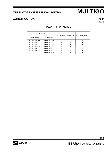## **CONSTRUCTION** 50Hz

Rev. H

| Pump type<br>Single Phase<br>Three Phase |                      | N7<br>Impeller |   | N9 Diffuser N62 Stage housing |
|------------------------------------------|----------------------|----------------|---|-------------------------------|
| MULTIGO M40/08                           | MULTIGO 40/08        |                | 3 |                               |
| MULTIGO M40/10                           | MULTIGO 40/10        | 5              | 4 | 5                             |
| MULTIGO M40/12                           | <b>MULTIGO 40/12</b> | 6              | 5 | 6                             |
| MULTIGO M40/15                           | <b>MULTIGO 40/15</b> |                | 6 |                               |
| MULTIGO M80/12                           | MULTIGO 80/12        |                | 3 | 4                             |
| MULTIGO M80/15                           | <b>MULTIGO 80/15</b> | 5              | 4 | 5                             |
|                                          | <b>MULTIGO 80/20</b> | հ              | 5 | 6                             |

### **QUANTITY FOR MODEL**

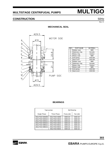## **CONSTRUCTION** 50Hz

Rev. H

### **MECHANICAL SEAL**



| <b>REF</b> | PART NAME          | <b>MATERIAL</b> |
|------------|--------------------|-----------------|
| A          | Rubber seat        | <b>NBR</b>      |
| B          | Stationary ring    | Ceramic         |
| C          | Rotary ring        | Carbon          |
| D          | Rotary seal        | <b>NBR</b>      |
| Е          | Coil spring        | AISI 304        |
| F          | Seal cover         | AISI 304        |
| G          | <b>Rubber</b> seat | <b>NBR</b>      |
| н          | Stationary ring    | Ceramic         |
|            | Rotary ring        | Carbon          |
| L          | Rotary seal        | <b>NBR</b>      |
| м          | Coil spring        | AISI 304        |
| N          | Seal cover         | AISI 304        |

### **BEARINGS**

|                | Type pumps    | <b>Ball Bearing</b> |          |  |  |
|----------------|---------------|---------------------|----------|--|--|
| Single Phase   | Three Phase   | Pump side           | Fan side |  |  |
| MULTIGO M40/08 | MULTIGO 40/08 | 6303 ZZ             | 6202 ZZ  |  |  |
| MULTIGO M40/10 | MULTIGO 40/10 | 6303 ZZ             | 6202 ZZ  |  |  |
| MULTIGO M40/12 | MULTIGO 40/12 | 6303 ZZ             | 6202 ZZ  |  |  |
| MULTIGO M40/15 | MULTIGO 40/15 | 6303 ZZ             | 6202 ZZ  |  |  |
| MULTIGO M80/12 | MULTIGO 80/12 | 6303 ZZ             | 6202 ZZ  |  |  |
| MULTIGO M80/15 | MULTIGO 80/15 | 6303 ZZ             | 6202 ZZ  |  |  |
|                | MULTIGO 80/20 | 6303 ZZ             | 6202 ZZ  |  |  |



**EBARA** PUMPS EUROPE S.p.A.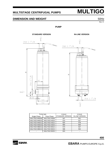## **DIMENSION AND WEIGHT** 50Hz

Rev. H

### **PUMP**



| Pump type      |               | $H$ [mm]                | $H$ [mm]               |
|----------------|---------------|-------------------------|------------------------|
| Single Phase   | Three Phase   | <b>STANDARD VERSION</b> | <b>IN-LINE VERSION</b> |
| MULTIGO M40/08 | MULTIGO 40/08 | 547                     | 501                    |
| MULTIGO M40/10 | MULTIGO 40/10 | 573                     | 527                    |
| MULTIGO M40/12 | MULTIGO 40/12 | 624                     | 578                    |
| MULTIGO M40/15 | MULTIGO 40/15 | 650                     | 604                    |
| MULTIGO M80/12 | MULTIGO 80/12 | 573                     | 527                    |
| MULTIGO M80/15 | MULTIGO 80/15 | 598                     | 552                    |
|                | MULTIGO 80/20 | 624                     |                        |



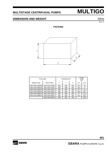## **DIMENSION AND WEIGHT** 50Hz

Rev. H

## **PACKING**



| Pump type      |               |     | Packing [mm] | Weight<br>[kgf] |         |      |
|----------------|---------------|-----|--------------|-----------------|---------|------|
| Single Phase   | Three Phase   | X   | Υ            | Z               | $[1 -]$ | [3~] |
| MULTIGO M40/08 | MULTIGO 40/08 | 200 | 200          | 320             | 15.3    | 16   |
| MULTIGO M40/10 | MULTIGO 40/10 | 200 | 200          | 320             | 16.5    | 17   |
| MULTIGO M40/12 | MULTIGO 40/12 | 200 | 200          | 700             | 17.7    | 18   |
| MULTIGO M40/15 | MULTIGO 40/15 | 200 | 200          | 700             | 18.8    | 18.7 |
| MULTIGO M80/12 | MULTIGO 80/12 | 200 | 200          | 320             | 17      | 17.4 |
| MULTIGO M80/15 | MULTIGO 80/15 | 200 | 200          | 700             | 18.2    | 18.2 |
|                | MULTIGO 80/20 | 200 | 200          | 700             |         | 19.2 |